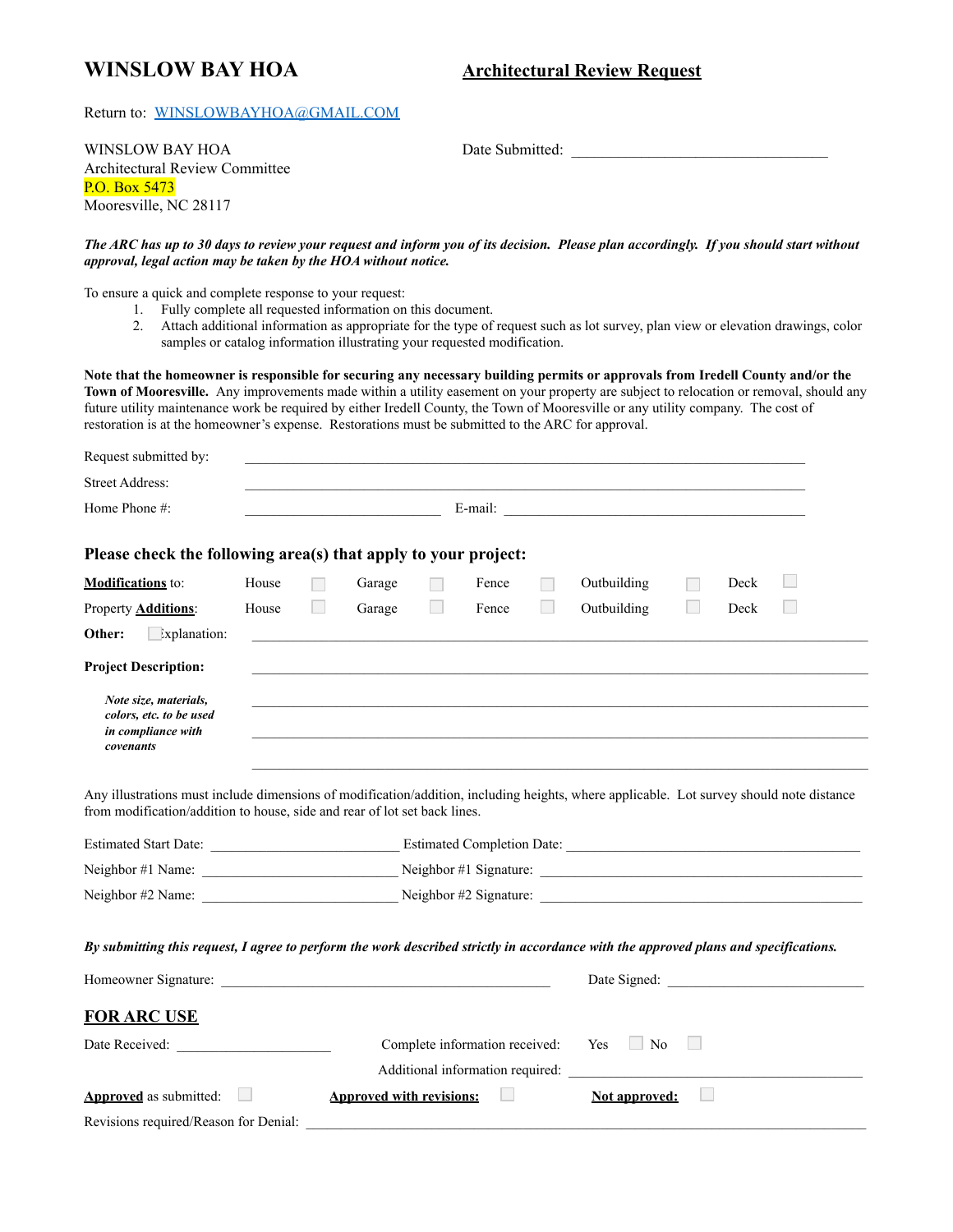## **WINSLOW BAY HOA**

## **Architectural Review Request**

## Return to: WINSLOWBAYHOA@GMAIL.COM

**WINSLOW BAY HOA Architectural Review Committee** P.O. Box 5473 Mooresville, NC 28117

Date Submitted:

## The ARC has up to 30 days to review your request and inform you of its decision. Please plan accordingly. If you should start without approval, legal action may be taken by the HOA without notice.

To ensure a quick and complete response to your request:

- 1. Fully complete all requested information on this document.
- 2. Attach additional information as appropriate for the type of request such as lot survey, plan view or elevation drawings, color samples or catalog information illustrating your requested modification.

Note that the homeowner is responsible for securing any necessary building permits or approvals from Iredell County and/or the Town of Mooresville. Any improvements made within a utility easement on your property are subject to relocation or removal, should any future utility maintenance work be required by either Iredell County, the Town of Mooresville or any utility company. The cost of restoration is at the homeowner's expense. Restorations must be submitted to the ARC for approval.

| Request submitted by:                                                                                                                                                                                                 |                                                                                   |                                                                                   |                                 |                          |       |                  |                                       |                          |      |  |  |
|-----------------------------------------------------------------------------------------------------------------------------------------------------------------------------------------------------------------------|-----------------------------------------------------------------------------------|-----------------------------------------------------------------------------------|---------------------------------|--------------------------|-------|------------------|---------------------------------------|--------------------------|------|--|--|
| <b>Street Address:</b>                                                                                                                                                                                                |                                                                                   |                                                                                   |                                 |                          |       |                  |                                       |                          |      |  |  |
| Home Phone #:                                                                                                                                                                                                         |                                                                                   |                                                                                   |                                 |                          |       |                  |                                       |                          |      |  |  |
| Please check the following area(s) that apply to your project:                                                                                                                                                        |                                                                                   |                                                                                   |                                 |                          |       |                  |                                       |                          |      |  |  |
| <b>Modifications</b> to:                                                                                                                                                                                              | House                                                                             | $\Box$                                                                            | Garage                          | $\overline{\phantom{a}}$ | Fence | <b>The State</b> | Outbuilding                           | H                        | Deck |  |  |
| Property <b>Additions</b> :                                                                                                                                                                                           | House                                                                             |                                                                                   | Garage                          | $\sim$                   | Fence | $\mathbb{R}^n$   | Outbuilding                           |                          | Deck |  |  |
| Other:<br>$\Box$ xplanation:                                                                                                                                                                                          |                                                                                   |                                                                                   |                                 |                          |       |                  |                                       |                          |      |  |  |
| <b>Project Description:</b>                                                                                                                                                                                           |                                                                                   |                                                                                   |                                 |                          |       |                  |                                       |                          |      |  |  |
| Note size, materials,<br>colors, etc. to be used<br>in compliance with<br>covenants                                                                                                                                   |                                                                                   |                                                                                   |                                 |                          |       |                  |                                       |                          |      |  |  |
| Any illustrations must include dimensions of modification/addition, including heights, where applicable. Lot survey should note distance<br>from modification/addition to house, side and rear of lot set back lines. |                                                                                   |                                                                                   |                                 |                          |       |                  |                                       |                          |      |  |  |
|                                                                                                                                                                                                                       | Estimated Start Date: Estimated Completion Date: ________________________________ |                                                                                   |                                 |                          |       |                  |                                       |                          |      |  |  |
|                                                                                                                                                                                                                       |                                                                                   | Neighbor #1 Name: Neighbor #1 Name: Neighbor #1 Signature: Neighbor #1 Signature: |                                 |                          |       |                  |                                       |                          |      |  |  |
|                                                                                                                                                                                                                       | Neighbor #2 Name: $\qquad \qquad$ Neighbor #2 Signature: $\qquad \qquad$          |                                                                                   |                                 |                          |       |                  |                                       |                          |      |  |  |
| By submitting this request, I agree to perform the work described strictly in accordance with the approved plans and specifications.                                                                                  |                                                                                   |                                                                                   |                                 |                          |       |                  |                                       |                          |      |  |  |
|                                                                                                                                                                                                                       |                                                                                   |                                                                                   |                                 |                          |       |                  |                                       |                          |      |  |  |
| <b>FOR ARC USE</b>                                                                                                                                                                                                    |                                                                                   |                                                                                   |                                 |                          |       |                  |                                       |                          |      |  |  |
|                                                                                                                                                                                                                       |                                                                                   |                                                                                   |                                 |                          |       |                  | Complete information received: Yes No | $\overline{\phantom{a}}$ |      |  |  |
|                                                                                                                                                                                                                       |                                                                                   |                                                                                   |                                 |                          |       |                  | Additional information required:      |                          |      |  |  |
| <b>Approved</b> as submitted:                                                                                                                                                                                         | <b>Contract</b>                                                                   |                                                                                   | <b>Approved with revisions:</b> |                          |       |                  | <b>Not approved:</b>                  |                          |      |  |  |
| Revisions required/Reason for Denial:                                                                                                                                                                                 |                                                                                   |                                                                                   |                                 |                          |       |                  |                                       |                          |      |  |  |